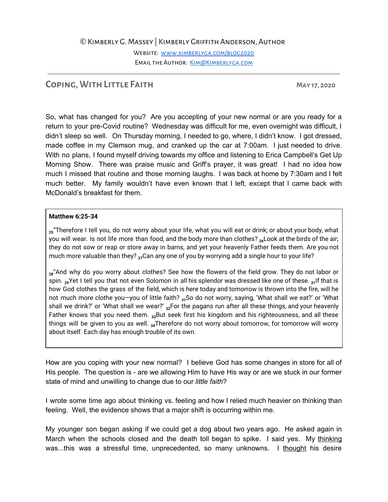©Kimberly G. Massey | Kimberly Griffith Anderson, Author

Website: [www.kimberlyga.com/blog2020](http://www.kimberlyga.com/blog2020) EMAIL THE AUTHOR: KIM@KIMBERLYGA.COM

## **Coping, WithLittle Faith May 17, 2020**

So, what has changed for you? Are you accepting of your new normal or are you ready for a return to your pre-Covid routine? Wednesday was difficult for me, even overnight was difficult, I didn't sleep so well. On Thursday morning, I needed to go, where, I didn't know. I got dressed, made coffee in my Clemson mug, and cranked up the car at 7:00am. I just needed to drive. With no plans, I found myself driving towards my office and listening to Erica Campbell's Get Up Morning Show. There was praise music and Griff's prayer, it was great! I had no idea how much I missed that routine and those morning laughs. I was back at home by 7:30am and I felt much better. My family wouldn't have even known that I left, except that I came back with McDonald's breakfast for them.

## **Matthew 6:25-34**

**25**"Therefore I tell you, do not worry about your life, what you will eat or drink; or about your body, what you will wear. Is not life more than food, and the body more than clothes? <sub>26</sub>Look at the birds of the air; they do not sow or reap or store away in barns, and yet your heavenly Father feeds them. Are you not much more valuable than they? **27**Can any one of you by worrying add a single hour to your life?

28<sup>"</sup> And why do you worry about clothes? See how the flowers of the field grow. They do not labor or spin. **29**Yet I tell you that not even Solomon in all his splendor was dressed like one of these. **31**If that is how God clothes the grass of the field, which is here today and tomorrow is thrown into the fire, will he not much more clothe you—you of little faith? **31**So do not worry, saying, 'What shall we eat?' or 'What shall we drink?' or 'What shall we wear?' <sub>32</sub>For the pagans run after all these things, and your heavenly Father knows that you need them. <sub>33</sub>But seek first his kingdom and his righteousness, and all these things will be given to you as well. **34**Therefore do not worry about tomorrow, for tomorrow will worry about itself. Each day has enough trouble of its own.

How are you coping with your new normal? I believe God has some changes in store for all of His people. The question is - are we allowing Him to have His way or are we stuck in our former state of mind and unwilling to change due to our *little faith*?

I wrote some time ago about thinking vs. feeling and how I relied much heavier on thinking than feeling. Well, the evidence shows that a major shift is occurring within me.

My younger son began asking if we could get a dog about two years ago. He asked again in March when the schools closed and the death toll began to spike. I said yes. My thinking was...this was a stressful time, unprecedented, so many unknowns. I thought his desire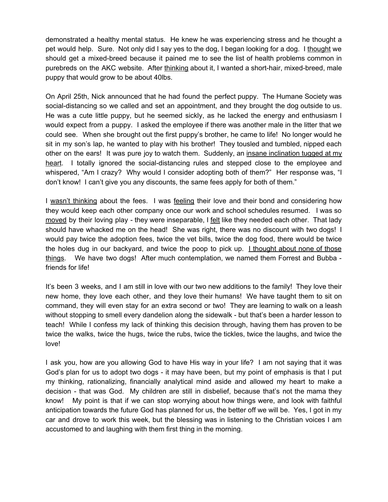demonstrated a healthy mental status. He knew he was experiencing stress and he thought a pet would help. Sure. Not only did I say yes to the dog, I began looking for a dog. I thought we should get a mixed-breed because it pained me to see the list of health problems common in purebreds on the AKC website. After thinking about it, I wanted a short-hair, mixed-breed, male puppy that would grow to be about 40lbs.

On April 25th, Nick announced that he had found the perfect puppy. The Humane Society was social-distancing so we called and set an appointment, and they brought the dog outside to us. He was a cute little puppy, but he seemed sickly, as he lacked the energy and enthusiasm I would expect from a puppy. I asked the employee if there was another male in the litter that we could see. When she brought out the first puppy's brother, he came to life! No longer would he sit in my son's lap, he wanted to play with his brother! They tousled and tumbled, nipped each other on the ears! It was pure joy to watch them. Suddenly, an insane inclination tugged at my heart. I totally ignored the social-distancing rules and stepped close to the employee and whispered, "Am I crazy? Why would I consider adopting both of them?" Her response was, "I don't know! I can't give you any discounts, the same fees apply for both of them."

I wasn't thinking about the fees. I was feeling their love and their bond and considering how they would keep each other company once our work and school schedules resumed. I was so moved by their loving play - they were inseparable, I felt like they needed each other. That lady should have whacked me on the head! She was right, there was no discount with two dogs! I would pay twice the adoption fees, twice the vet bills, twice the dog food, there would be twice the holes dug in our backyard, and twice the poop to pick up. I thought about none of those things. We have two dogs! After much contemplation, we named them Forrest and Bubba friends for life!

It's been 3 weeks, and I am still in love with our two new additions to the family! They love their new home, they love each other, and they love their humans! We have taught them to sit on command, they will even stay for an extra second or two! They are learning to walk on a leash without stopping to smell every dandelion along the sidewalk - but that's been a harder lesson to teach! While I confess my lack of thinking this decision through, having them has proven to be twice the walks, twice the hugs, twice the rubs, twice the tickles, twice the laughs, and twice the love!

I ask you, how are you allowing God to have His way in your life? I am not saying that it was God's plan for us to adopt two dogs - it may have been, but my point of emphasis is that I put my thinking, rationalizing, financially analytical mind aside and allowed my heart to make a decision - that was God. My children are still in disbelief, because that's not the mama they know! My point is that if we can stop worrying about how things were, and look with faithful anticipation towards the future God has planned for us, the better off we will be. Yes, I got in my car and drove to work this week, but the blessing was in listening to the Christian voices I am accustomed to and laughing with them first thing in the morning.